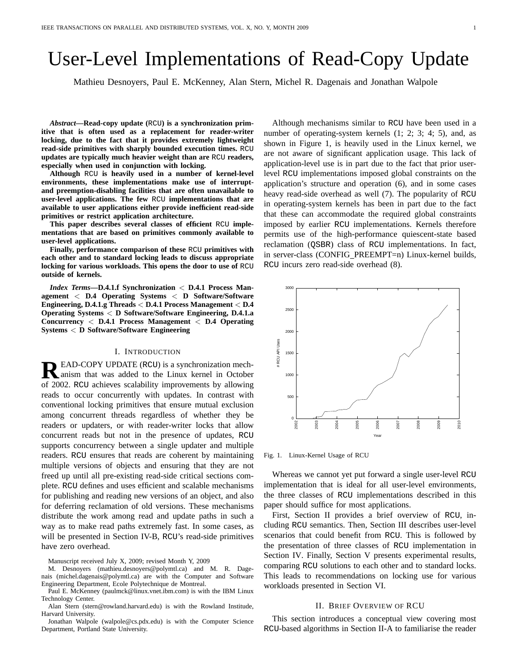# User-Level Implementations of Read-Copy Update

Mathieu Desnoyers, Paul E. McKenney, Alan Stern, Michel R. Dagenais and Jonathan Walpole

*Abstract***—Read-copy update (**RCU**) is a synchronization primitive that is often used as a replacement for reader-writer locking, due to the fact that it provides extremely lightweight read-side primitives with sharply bounded execution times.** RCU **updates are typically much heavier weight than are** RCU **readers, especially when used in conjunction with locking.**

**Although** RCU **is heavily used in a number of kernel-level environments, these implementations make use of interruptand preemption-disabling facilities that are often unavailable to user-level applications. The few** RCU **implementations that are available to user applications either provide inefficient read-side primitives or restrict application architecture.**

**This paper describes several classes of efficient** RCU **implementations that are based on primitives commonly available to user-level applications.**

**Finally, performance comparison of these** RCU **primitives with each other and to standard locking leads to discuss appropriate locking for various workloads. This opens the door to use of** RCU **outside of kernels.**

*Index Terms***—D.4.1.f Synchronization** < **D.4.1 Process Management** < **D.4 Operating Systems** < **D Software/Software Engineering, D.4.1.g Threads** < **D.4.1 Process Management** < **D.4 Operating Systems** < **D Software/Software Engineering, D.4.1.a Concurrency** < **D.4.1 Process Management** < **D.4 Operating Systems** < **D Software/Software Engineering**

# I. INTRODUCTION

**R** EAD-COPY UPDATE (RCU) is a synchronization mech-<br>anism that was added to the Linux kernel in October anism that was added to the Linux kernel in October of 2002. RCU achieves scalability improvements by allowing reads to occur concurrently with updates. In contrast with conventional locking primitives that ensure mutual exclusion among concurrent threads regardless of whether they be readers or updaters, or with reader-writer locks that allow concurrent reads but not in the presence of updates, RCU supports concurrency between a single updater and multiple readers. RCU ensures that reads are coherent by maintaining multiple versions of objects and ensuring that they are not freed up until all pre-existing read-side critical sections complete. RCU defines and uses efficient and scalable mechanisms for publishing and reading new versions of an object, and also for deferring reclamation of old versions. These mechanisms distribute the work among read and update paths in such a way as to make read paths extremely fast. In some cases, as will be presented in Section IV-B, RCU's read-side primitives have zero overhead.

Manuscript received July X, 2009; revised Month Y, 2009

M. Desnoyers (mathieu.desnoyers@polymtl.ca) and M. R. Dagenais (michel.dagenais@polymtl.ca) are with the Computer and Software Engineering Department, Ecole Polytechnique de Montreal.

Paul E. McKenney (paulmck@linux.vnet.ibm.com) is with the IBM Linux Technology Center.

Alan Stern (stern@rowland.harvard.edu) is with the Rowland Institude, Harvard University.

Jonathan Walpole (walpole@cs.pdx.edu) is with the Computer Science Department, Portland State University.

Although mechanisms similar to RCU have been used in a number of operating-system kernels  $(1; 2; 3; 4; 5)$ , and, as shown in Figure 1, is heavily used in the Linux kernel, we are not aware of significant application usage. This lack of application-level use is in part due to the fact that prior userlevel RCU implementations imposed global constraints on the application's structure and operation (6), and in some cases heavy read-side overhead as well (7). The popularity of RCU in operating-system kernels has been in part due to the fact that these can accommodate the required global constraints imposed by earlier RCU implementations. Kernels therefore permits use of the high-performance quiescent-state based reclamation (QSBR) class of RCU implementations. In fact, in server-class (CONFIG\_PREEMPT=n) Linux-kernel builds, RCU incurs zero read-side overhead (8).



Fig. 1. Linux-Kernel Usage of RCU

Whereas we cannot yet put forward a single user-level RCU implementation that is ideal for all user-level environments, the three classes of RCU implementations described in this paper should suffice for most applications.

First, Section II provides a brief overview of RCU, including RCU semantics. Then, Section III describes user-level scenarios that could benefit from RCU. This is followed by the presentation of three classes of RCU implementation in Section IV. Finally, Section V presents experimental results, comparing RCU solutions to each other and to standard locks. This leads to recommendations on locking use for various workloads presented in Section VI.

## II. BRIEF OVERVIEW OF RCU

This section introduces a conceptual view covering most RCU-based algorithms in Section II-A to familiarise the reader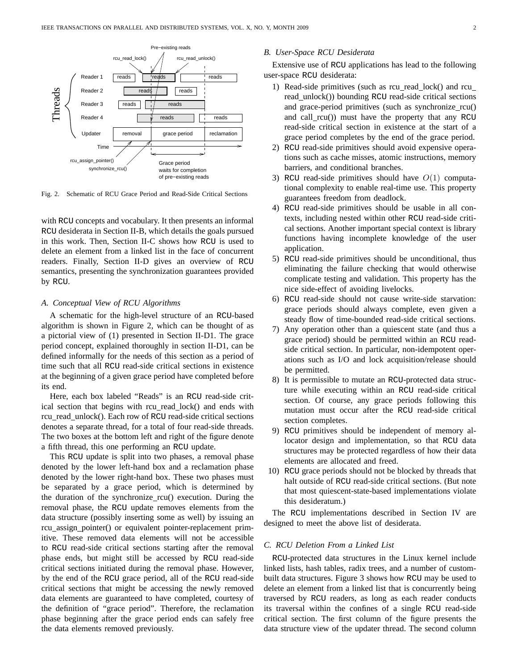

Fig. 2. Schematic of RCU Grace Period and Read-Side Critical Sections

with RCU concepts and vocabulary. It then presents an informal RCU desiderata in Section II-B, which details the goals pursued in this work. Then, Section II-C shows how RCU is used to delete an element from a linked list in the face of concurrent readers. Finally, Section II-D gives an overview of RCU semantics, presenting the synchronization guarantees provided by RCU.

#### *A. Conceptual View of RCU Algorithms*

A schematic for the high-level structure of an RCU-based algorithm is shown in Figure 2, which can be thought of as a pictorial view of (1) presented in Section II-D1. The grace period concept, explained thoroughly in section II-D1, can be defined informally for the needs of this section as a period of time such that all RCU read-side critical sections in existence at the beginning of a given grace period have completed before its end.

Here, each box labeled "Reads" is an RCU read-side critical section that begins with rcu read lock() and ends with rcu read unlock(). Each row of RCU read-side critical sections denotes a separate thread, for a total of four read-side threads. The two boxes at the bottom left and right of the figure denote a fifth thread, this one performing an RCU update.

This RCU update is split into two phases, a removal phase denoted by the lower left-hand box and a reclamation phase denoted by the lower right-hand box. These two phases must be separated by a grace period, which is determined by the duration of the synchronize rcu() execution. During the removal phase, the RCU update removes elements from the data structure (possibly inserting some as well) by issuing an rcu assign pointer() or equivalent pointer-replacement primitive. These removed data elements will not be accessible to RCU read-side critical sections starting after the removal phase ends, but might still be accessed by RCU read-side critical sections initiated during the removal phase. However, by the end of the RCU grace period, all of the RCU read-side critical sections that might be accessing the newly removed data elements are guaranteed to have completed, courtesy of the definition of "grace period". Therefore, the reclamation phase beginning after the grace period ends can safely free the data elements removed previously.

#### *B. User-Space RCU Desiderata*

Extensive use of RCU applications has lead to the following user-space RCU desiderata:

- 1) Read-side primitives (such as rcu read lock() and rcu read unlock()) bounding RCU read-side critical sections and grace-period primitives (such as synchronize rcu() and call rcu()) must have the property that any RCU read-side critical section in existence at the start of a grace period completes by the end of the grace period.
- 2) RCU read-side primitives should avoid expensive operations such as cache misses, atomic instructions, memory barriers, and conditional branches.
- 3) RCU read-side primitives should have  $O(1)$  computational complexity to enable real-time use. This property guarantees freedom from deadlock.
- 4) RCU read-side primitives should be usable in all contexts, including nested within other RCU read-side critical sections. Another important special context is library functions having incomplete knowledge of the user application.
- 5) RCU read-side primitives should be unconditional, thus eliminating the failure checking that would otherwise complicate testing and validation. This property has the nice side-effect of avoiding livelocks.
- 6) RCU read-side should not cause write-side starvation: grace periods should always complete, even given a steady flow of time-bounded read-side critical sections.
- 7) Any operation other than a quiescent state (and thus a grace period) should be permitted within an RCU readside critical section. In particular, non-idempotent operations such as I/O and lock acquisition/release should be permitted.
- 8) It is permissible to mutate an RCU-protected data structure while executing within an RCU read-side critical section. Of course, any grace periods following this mutation must occur after the RCU read-side critical section completes.
- 9) RCU primitives should be independent of memory allocator design and implementation, so that RCU data structures may be protected regardless of how their data elements are allocated and freed.
- 10) RCU grace periods should not be blocked by threads that halt outside of RCU read-side critical sections. (But note that most quiescent-state-based implementations violate this desideratum.)

The RCU implementations described in Section IV are designed to meet the above list of desiderata.

# *C. RCU Deletion From a Linked List*

RCU-protected data structures in the Linux kernel include linked lists, hash tables, radix trees, and a number of custombuilt data structures. Figure 3 shows how RCU may be used to delete an element from a linked list that is concurrently being traversed by RCU readers, as long as each reader conducts its traversal within the confines of a single RCU read-side critical section. The first column of the figure presents the data structure view of the updater thread. The second column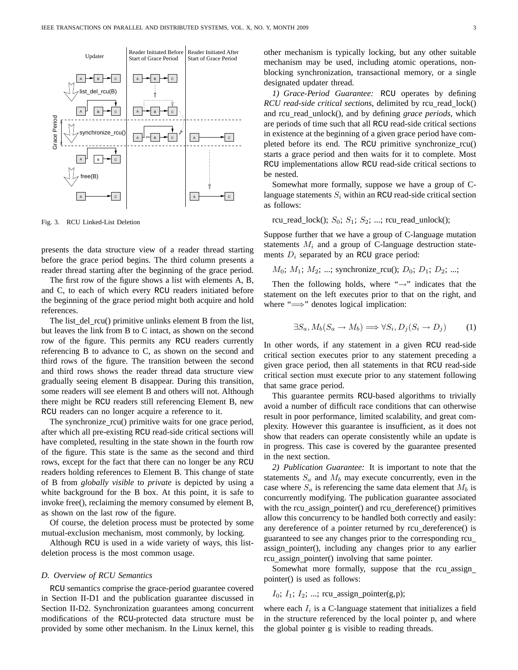

Fig. 3. RCU Linked-List Deletion

presents the data structure view of a reader thread starting before the grace period begins. The third column presents a reader thread starting after the beginning of the grace period.

The first row of the figure shows a list with elements A, B, and C, to each of which every RCU readers initiated before the beginning of the grace period might both acquire and hold references.

The list\_del\_rcu() primitive unlinks element B from the list, but leaves the link from B to C intact, as shown on the second row of the figure. This permits any RCU readers currently referencing B to advance to C, as shown on the second and third rows of the figure. The transition between the second and third rows shows the reader thread data structure view gradually seeing element B disappear. During this transition, some readers will see element B and others will not. Although there might be RCU readers still referencing Element B, new RCU readers can no longer acquire a reference to it.

The synchronize rcu() primitive waits for one grace period, after which all pre-existing RCU read-side critical sections will have completed, resulting in the state shown in the fourth row of the figure. This state is the same as the second and third rows, except for the fact that there can no longer be any RCU readers holding references to Element B. This change of state of B from *globally visible* to *private* is depicted by using a white background for the B box. At this point, it is safe to invoke free(), reclaiming the memory consumed by element B, as shown on the last row of the figure.

Of course, the deletion process must be protected by some mutual-exclusion mechanism, most commonly, by locking.

Although RCU is used in a wide variety of ways, this listdeletion process is the most common usage.

# *D. Overview of RCU Semantics*

RCU semantics comprise the grace-period guarantee covered in Section II-D1 and the publication guarantee discussed in Section II-D2. Synchronization guarantees among concurrent modifications of the RCU-protected data structure must be provided by some other mechanism. In the Linux kernel, this other mechanism is typically locking, but any other suitable mechanism may be used, including atomic operations, nonblocking synchronization, transactional memory, or a single designated updater thread.

*1) Grace-Period Guarantee:* RCU operates by defining *RCU read-side critical sections*, delimited by rcu\_read\_lock() and rcu read unlock(), and by defining *grace periods*, which are periods of time such that all RCU read-side critical sections in existence at the beginning of a given grace period have completed before its end. The RCU primitive synchronize\_rcu() starts a grace period and then waits for it to complete. Most RCU implementations allow RCU read-side critical sections to be nested.

Somewhat more formally, suppose we have a group of Clanguage statements  $S_i$  within an RCU read-side critical section as follows:

rcu read lock();  $S_0$ ;  $S_1$ ;  $S_2$ ; ...; rcu read unlock();

Suppose further that we have a group of C-language mutation statements  $M_i$  and a group of C-language destruction statements  $D_i$  separated by an RCU grace period:

 $M_0$ ;  $M_1$ ;  $M_2$ ; ...; synchronize\_rcu();  $D_0$ ;  $D_1$ ;  $D_2$ ; ...;

Then the following holds, where "→" indicates that the statement on the left executes prior to that on the right, and where "⇒" denotes logical implication:

$$
\exists S_a, M_b(S_a \to M_b) \Longrightarrow \forall S_i, D_j(S_i \to D_j) \tag{1}
$$

In other words, if any statement in a given RCU read-side critical section executes prior to any statement preceding a given grace period, then all statements in that RCU read-side critical section must execute prior to any statement following that same grace period.

This guarantee permits RCU-based algorithms to trivially avoid a number of difficult race conditions that can otherwise result in poor performance, limited scalability, and great complexity. However this guarantee is insufficient, as it does not show that readers can operate consistently while an update is in progress. This case is covered by the guarantee presented in the next section.

*2) Publication Guarantee:* It is important to note that the statements  $S_a$  and  $M_b$  may execute concurrently, even in the case where  $S_a$  is referencing the same data element that  $M_b$  is concurrently modifying. The publication guarantee associated with the rcu assign pointer() and rcu dereference() primitives allow this concurrency to be handled both correctly and easily: any dereference of a pointer returned by rcu dereference() is guaranteed to see any changes prior to the corresponding rcu assign pointer(), including any changes prior to any earlier rcu assign pointer() involving that same pointer.

Somewhat more formally, suppose that the rcu\_assign\_ pointer() is used as follows:

 $I_0$ ;  $I_1$ ;  $I_2$ ; ...; rcu\_assign\_pointer(g,p);

where each  $I_i$  is a C-language statement that initializes a field in the structure referenced by the local pointer p, and where the global pointer g is visible to reading threads.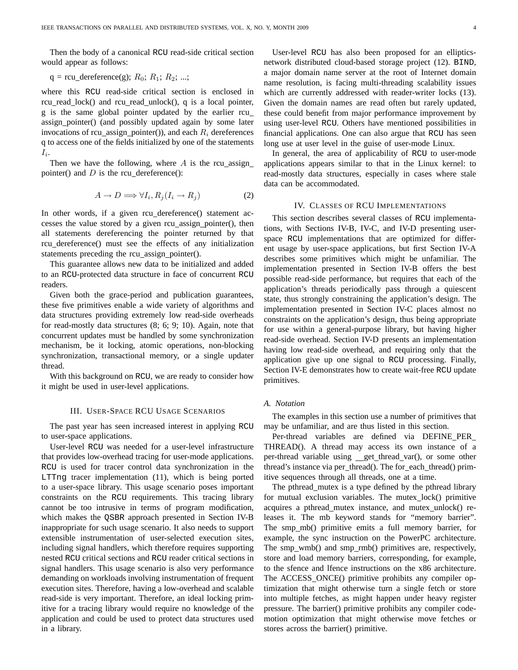Then the body of a canonical RCU read-side critical section would appear as follows:

# $q = \text{rcu\_derference}(g); R_0; R_1; R_2; ...;$

where this RCU read-side critical section is enclosed in rcu\_read\_lock() and rcu\_read\_unlock(), q is a local pointer, g is the same global pointer updated by the earlier rcu assign pointer() (and possibly updated again by some later invocations of rcu\_assign\_pointer()), and each  $R_i$  dereferences q to access one of the fields initialized by one of the statements  $I_i$ .

Then we have the following, where  $A$  is the rcu\_assign\_ pointer() and  $D$  is the rcu dereference():

$$
A \to D \Longrightarrow \forall I_i, R_j(I_i \to R_j)
$$
 (2)

In other words, if a given rcu\_dereference() statement accesses the value stored by a given rcu assign pointer(), then all statements dereferencing the pointer returned by that rcu dereference() must see the effects of any initialization statements preceding the rcu\_assign\_pointer().

This guarantee allows new data to be initialized and added to an RCU-protected data structure in face of concurrent RCU readers.

Given both the grace-period and publication guarantees, these five primitives enable a wide variety of algorithms and data structures providing extremely low read-side overheads for read-mostly data structures (8; 6; 9; 10). Again, note that concurrent updates must be handled by some synchronization mechanism, be it locking, atomic operations, non-blocking synchronization, transactional memory, or a single updater thread.

With this background on RCU, we are ready to consider how it might be used in user-level applications.

#### III. USER-SPACE RCU USAGE SCENARIOS

The past year has seen increased interest in applying RCU to user-space applications.

User-level RCU was needed for a user-level infrastructure that provides low-overhead tracing for user-mode applications. RCU is used for tracer control data synchronization in the LTTng tracer implementation (11), which is being ported to a user-space library. This usage scenario poses important constraints on the RCU requirements. This tracing library cannot be too intrusive in terms of program modification, which makes the QSBR approach presented in Section IV-B inappropriate for such usage scenario. It also needs to support extensible instrumentation of user-selected execution sites, including signal handlers, which therefore requires supporting nested RCU critical sections and RCU reader critical sections in signal handlers. This usage scenario is also very performance demanding on workloads involving instrumentation of frequent execution sites. Therefore, having a low-overhead and scalable read-side is very important. Therefore, an ideal locking primitive for a tracing library would require no knowledge of the application and could be used to protect data structures used in a library.

User-level RCU has also been proposed for an ellipticsnetwork distributed cloud-based storage project (12). BIND, a major domain name server at the root of Internet domain name resolution, is facing multi-threading scalability issues which are currently addressed with reader-writer locks (13). Given the domain names are read often but rarely updated, these could benefit from major performance improvement by using user-level RCU. Others have mentioned possibilities in financial applications. One can also argue that RCU has seen long use at user level in the guise of user-mode Linux.

In general, the area of applicability of RCU to user-mode applications appears similar to that in the Linux kernel: to read-mostly data structures, especially in cases where stale data can be accommodated.

# IV. CLASSES OF RCU IMPLEMENTATIONS

This section describes several classes of RCU implementations, with Sections IV-B, IV-C, and IV-D presenting userspace RCU implementations that are optimized for different usage by user-space applications, but first Section IV-A describes some primitives which might be unfamiliar. The implementation presented in Section IV-B offers the best possible read-side performance, but requires that each of the application's threads periodically pass through a quiescent state, thus strongly constraining the application's design. The implementation presented in Section IV-C places almost no constraints on the application's design, thus being appropriate for use within a general-purpose library, but having higher read-side overhead. Section IV-D presents an implementation having low read-side overhead, and requiring only that the application give up one signal to RCU processing. Finally, Section IV-E demonstrates how to create wait-free RCU update primitives.

#### *A. Notation*

The examples in this section use a number of primitives that may be unfamiliar, and are thus listed in this section.

Per-thread variables are defined via DEFINE PER THREAD(). A thread may access its own instance of a per-thread variable using get thread var(), or some other thread's instance via per\_thread(). The for\_each\_thread() primitive sequences through all threads, one at a time.

The pthread mutex is a type defined by the pthread library for mutual exclusion variables. The mutex lock() primitive acquires a pthread\_mutex instance, and mutex\_unlock() releases it. The mb keyword stands for "memory barrier". The smp\_mb() primitive emits a full memory barrier, for example, the sync instruction on the PowerPC architecture. The smp\_wmb() and smp\_rmb() primitives are, respectively, store and load memory barriers, corresponding, for example, to the sfence and lfence instructions on the x86 architecture. The ACCESS ONCE() primitive prohibits any compiler optimization that might otherwise turn a single fetch or store into multiple fetches, as might happen under heavy register pressure. The barrier() primitive prohibits any compiler codemotion optimization that might otherwise move fetches or stores across the barrier() primitive.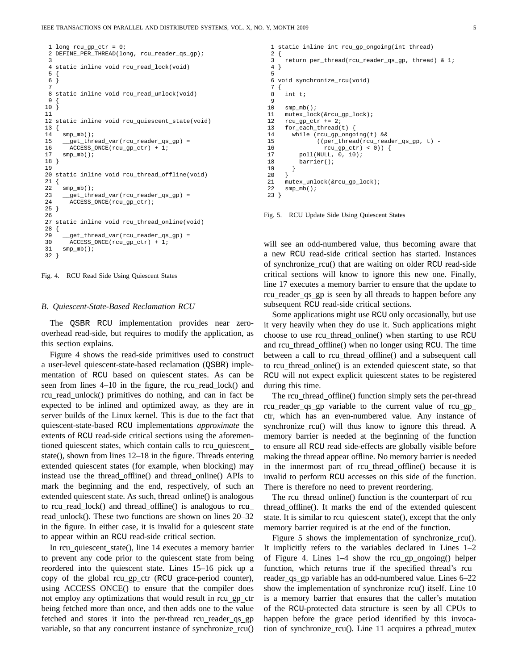```
1 long rcu_gp_ctr = 0;
 2 DEFINE_PER_THREAD(long, rcu_reader_qs_gp);
 3
 4 static inline void rcu_read_lock(void)
 5 {
6 }
 7
 8 static inline void rcu_read_unlock(void)
\overline{9}1011
12 static inline void rcu_quiescent_state(void)
13 {
14 smpmb();
15 __get_thread_var(rcu_reader_qs_gp) =
16 ACCESS_ONCE(rcu_gp_ctr) + 1;
17 smp_mb();
18 }
19
20 static inline void rcu_thread_offline(void)
21 {
22 smpmb();
23 __get_thread_var(rcu_reader_qs_gp) =
24 ACCESS_ONCE(rcu_gp_ctr);
25 }
26
27 static inline void rcu_thread_online(void)
28 {
29 qet thread var(rcu reader qs qp) =
30 \text{ACCESS\_ONCE}(\text{rcu\_gp\_ctr}) + 1;<br>31 \text{smp mb}();
     smp_mb();
32 }
```
Fig. 4. RCU Read Side Using Quiescent States

#### *B. Quiescent-State-Based Reclamation RCU*

The QSBR RCU implementation provides near zerooverhead read-side, but requires to modify the application, as this section explains.

Figure 4 shows the read-side primitives used to construct a user-level quiescent-state-based reclamation (QSBR) implementation of RCU based on quiescent states. As can be seen from lines 4–10 in the figure, the rcu\_read\_lock() and rcu read unlock() primitives do nothing, and can in fact be expected to be inlined and optimized away, as they are in server builds of the Linux kernel. This is due to the fact that quiescent-state-based RCU implementations *approximate* the extents of RCU read-side critical sections using the aforementioned quiescent states, which contain calls to rcu\_quiescent\_ state(), shown from lines 12–18 in the figure. Threads entering extended quiescent states (for example, when blocking) may instead use the thread offline() and thread online() APIs to mark the beginning and the end, respectively, of such an extended quiescent state. As such, thread\_online() is analogous to rcu read lock() and thread offline() is analogous to rcu read\_unlock(). These two functions are shown on lines 20–32 in the figure. In either case, it is invalid for a quiescent state to appear within an RCU read-side critical section.

In rcu\_quiescent\_state(), line 14 executes a memory barrier to prevent any code prior to the quiescent state from being reordered into the quiescent state. Lines 15–16 pick up a copy of the global rcu gp ctr (RCU grace-period counter), using ACCESS ONCE() to ensure that the compiler does not employ any optimizations that would result in rcu\_gp\_ctr being fetched more than once, and then adds one to the value fetched and stores it into the per-thread rcu\_reader\_qs\_gp variable, so that any concurrent instance of synchronize $rcu()$ 

```
1 static inline int rcu_gp_ongoing(int thread)
 \begin{array}{c} 2 \\ 3 \end{array}3 return per_thread(rcu_reader_qs_gp, thread) & 1;
 4 }
 5
 6 void synchronize_rcu(void)
 \begin{matrix} 7 \\ 8 \end{matrix}int t;
 9
10 smp_mb();
11 mutex_lock(&rcu_gp_lock);
12 rcu_gp_ctr += 2;
13 for each thread(t) {
14 while (rcu_gp_ongoing(t) &&
15 ((per_thread(rcu_reader_qs_gp, t) -
16 rcu\_gp\_ctr (0) (17 poll(NULL, 0, 10);
18 barrier();
19 }
20 }
21 mutex_unlock(&rcu_gp_lock);
22 smp_mb();
23 }
```
Fig. 5. RCU Update Side Using Quiescent States

will see an odd-numbered value, thus becoming aware that a new RCU read-side critical section has started. Instances of synchronize\_rcu() that are waiting on older RCU read-side critical sections will know to ignore this new one. Finally, line 17 executes a memory barrier to ensure that the update to rcu reader qs gp is seen by all threads to happen before any subsequent RCU read-side critical sections.

Some applications might use RCU only occasionally, but use it very heavily when they do use it. Such applications might choose to use rcu\_thread\_online() when starting to use RCU and rcu thread offline() when no longer using RCU. The time between a call to rcu thread offline() and a subsequent call to rcu thread online() is an extended quiescent state, so that RCU will not expect explicit quiescent states to be registered during this time.

The rcu\_thread\_offline() function simply sets the per-thread rcu reader qs gp variable to the current value of rcu gp ctr, which has an even-numbered value. Any instance of synchronize rcu() will thus know to ignore this thread. A memory barrier is needed at the beginning of the function to ensure all RCU read side-effects are globally visible before making the thread appear offline. No memory barrier is needed in the innermost part of rcu thread offline() because it is invalid to perform RCU accesses on this side of the function. There is therefore no need to prevent reordering.

The rcu\_thread\_online() function is the counterpart of rcu\_ thread offline(). It marks the end of the extended quiescent state. It is similar to rcu quiescent state(), except that the only memory barrier required is at the end of the function.

Figure 5 shows the implementation of synchronize rcu(). It implicitly refers to the variables declared in Lines 1–2 of Figure 4. Lines 1–4 show the rcu gp ongoing() helper function, which returns true if the specified thread's rcu reader qs gp variable has an odd-numbered value. Lines 6–22 show the implementation of synchronize rcu() itself. Line 10 is a memory barrier that ensures that the caller's mutation of the RCU-protected data structure is seen by all CPUs to happen before the grace period identified by this invocation of synchronize rcu(). Line 11 acquires a pthread mutex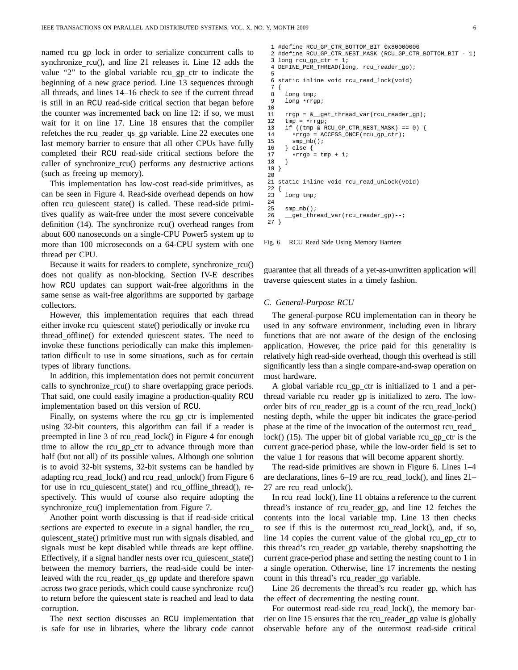named rcu gp lock in order to serialize concurrent calls to synchronize rcu(), and line 21 releases it. Line 12 adds the value "2" to the global variable rcu\_gp\_ctr to indicate the beginning of a new grace period. Line 13 sequences through all threads, and lines 14–16 check to see if the current thread is still in an RCU read-side critical section that began before the counter was incremented back on line 12: if so, we must wait for it on line 17. Line 18 ensures that the compiler refetches the rcu\_reader\_qs\_gp variable. Line 22 executes one last memory barrier to ensure that all other CPUs have fully completed their RCU read-side critical sections before the caller of synchronize\_rcu() performs any destructive actions (such as freeing up memory).

This implementation has low-cost read-side primitives, as can be seen in Figure 4. Read-side overhead depends on how often rcu\_quiescent\_state() is called. These read-side primitives qualify as wait-free under the most severe conceivable definition (14). The synchronize rcu() overhead ranges from about 600 nanoseconds on a single-CPU Power5 system up to more than 100 microseconds on a 64-CPU system with one thread per CPU.

Because it waits for readers to complete, synchronize\_rcu() does not qualify as non-blocking. Section IV-E describes how RCU updates can support wait-free algorithms in the same sense as wait-free algorithms are supported by garbage collectors.

However, this implementation requires that each thread either invoke rcu\_quiescent\_state() periodically or invoke rcu\_ thread offline() for extended quiescent states. The need to invoke these functions periodically can make this implementation difficult to use in some situations, such as for certain types of library functions.

In addition, this implementation does not permit concurrent calls to synchronize\_rcu() to share overlapping grace periods. That said, one could easily imagine a production-quality RCU implementation based on this version of RCU.

Finally, on systems where the rcu\_gp\_ctr is implemented using 32-bit counters, this algorithm can fail if a reader is preempted in line 3 of rcu\_read\_lock() in Figure 4 for enough time to allow the rcu\_gp\_ctr to advance through more than half (but not all) of its possible values. Although one solution is to avoid 32-bit systems, 32-bit systems can be handled by adapting rcu\_read\_lock() and rcu\_read\_unlock() from Figure 6 for use in rcu\_quiescent\_state() and rcu\_offline\_thread(), respectively. This would of course also require adopting the synchronize\_rcu() implementation from Figure 7.

Another point worth discussing is that if read-side critical sections are expected to execute in a signal handler, the rcu quiescent state() primitive must run with signals disabled, and signals must be kept disabled while threads are kept offline. Effectively, if a signal handler nests over rcu\_quiescent\_state() between the memory barriers, the read-side could be interleaved with the rcu\_reader\_qs\_gp update and therefore spawn across two grace periods, which could cause synchronize rcu() to return before the quiescent state is reached and lead to data corruption.

The next section discusses an RCU implementation that is safe for use in libraries, where the library code cannot

```
1 #define RCU_GP_CTR_BOTTOM_BIT 0x80000000
 2 #define RCU_GP_CTR_NEST_MASK (RCU_GP_CTR_BOTTOM_BIT - 1)
 3 long rcu_gp_ctr = 1;
 4 DEFINE_PER_THREAD(long, rcu_reader_gp);
 5
 6 static inline void rcu_read_lock(void)
\frac{7}{8}8 \t \text{long tmp};<br>9 long *rrg
     long *rrgp;
10
11 rrgp = \& get_thread_var(rcu_reader_gp);
12 tmp = *rrgp;<br>13 if ((tmp & R
     if ((tmp & RCU_GP_CTR_NEST_MASK) == 0) {
14 * * rrgp = ACCESS_ONCE(rcu_gp_ctr);
15 smp_mb();
16 } else {
17 *rrgp = tmp + 1;<br>18 }
18 }
19 }
2021 static inline void rcu_read_unlock(void)
22 {
23 long tmp;
24
25 smp_mb();
26 __get_thread_var(rcu_reader_gp)--;
```
27 }

Fig. 6. RCU Read Side Using Memory Barriers

guarantee that all threads of a yet-as-unwritten application will traverse quiescent states in a timely fashion.

#### *C. General-Purpose RCU*

The general-purpose RCU implementation can in theory be used in any software environment, including even in library functions that are not aware of the design of the enclosing application. However, the price paid for this generality is relatively high read-side overhead, though this overhead is still significantly less than a single compare-and-swap operation on most hardware.

A global variable rcu gp ctr is initialized to 1 and a perthread variable rcu\_reader\_gp is initialized to zero. The loworder bits of rcu\_reader\_gp is a count of the rcu\_read\_lock() nesting depth, while the upper bit indicates the grace-period phase at the time of the invocation of the outermost rcu\_read\_ lock() (15). The upper bit of global variable rcu\_gp\_ctr is the current grace-period phase, while the low-order field is set to the value 1 for reasons that will become apparent shortly.

The read-side primitives are shown in Figure 6. Lines 1–4 are declarations, lines  $6-19$  are rcu\_read\_lock(), and lines  $21-$ 27 are rcu\_read\_unlock().

In rcu\_read\_lock(), line 11 obtains a reference to the current thread's instance of rcu\_reader\_gp, and line 12 fetches the contents into the local variable tmp. Line 13 then checks to see if this is the outermost rcu read lock(), and, if so, line 14 copies the current value of the global rcu gp ctr to this thread's rcu\_reader\_gp variable, thereby snapshotting the current grace-period phase and setting the nesting count to 1 in a single operation. Otherwise, line 17 increments the nesting count in this thread's rcu reader gp variable.

Line 26 decrements the thread's rcu\_reader\_gp, which has the effect of decrementing the nesting count.

For outermost read-side rcu\_read\_lock(), the memory barrier on line 15 ensures that the rcu\_reader\_gp value is globally observable before any of the outermost read-side critical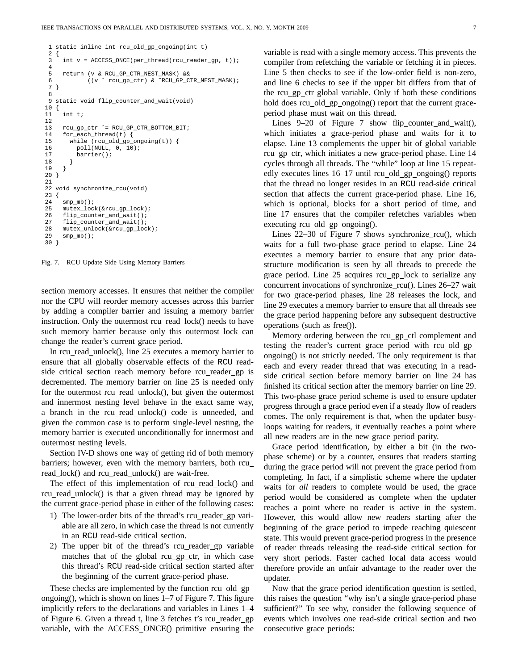```
1 static inline int rcu_old_gp_ongoing(int t)
 \begin{matrix} 2 \\ 3 \end{matrix}int v = ACCESS\_ONCE(per_{thread}(rcu_{read} = c);
 4
 5 return (v & RCU_GP_CTR_NEST_MASK) & &<br>6 ((v ^ rcu qp ctr) & ~RCU GP C
 6 ((v \text{ 'rcu\_gp\_ctr}) & "RCU_GP_CTR_NEST_MASK);<br>
7 }
   7 }
 8
   static void flip counter and wait(void)
10 {
11 int t;
12
13 rcu_gp_ctr ˆ= RCU_GP_CTR_BOTTOM_BIT;
14 for_each_thread(t) {
15 while (rcu_old_gp_ongoing(t)) {
16 poll(NULL, 0, 10);
17 barrier();
18 }
19 }
20 }
21
22 void synchronize_rcu(void)
23 {
24 smp_mb();
25 mutex_lock(&rcu_gp_lock);
26 flip_counter_and_wait();
27 flip counter and wait();
28 mutex_unlock(&rcu_gp_lock);<br>29 smp mb();
     smp_mb();
30 }
```
Fig. 7. RCU Update Side Using Memory Barriers

section memory accesses. It ensures that neither the compiler nor the CPU will reorder memory accesses across this barrier by adding a compiler barrier and issuing a memory barrier instruction. Only the outermost rcu\_read\_lock() needs to have such memory barrier because only this outermost lock can change the reader's current grace period.

In rcu read unlock(), line 25 executes a memory barrier to ensure that all globally observable effects of the RCU readside critical section reach memory before rcu\_reader\_gp is decremented. The memory barrier on line 25 is needed only for the outermost rcu\_read\_unlock(), but given the outermost and innermost nesting level behave in the exact same way, a branch in the rcu\_read\_unlock() code is unneeded, and given the common case is to perform single-level nesting, the memory barrier is executed unconditionally for innermost and outermost nesting levels.

Section IV-D shows one way of getting rid of both memory barriers; however, even with the memory barriers, both rcu read lock() and rcu read unlock() are wait-free.

The effect of this implementation of rcu\_read\_lock() and rcu read unlock() is that a given thread may be ignored by the current grace-period phase in either of the following cases:

- 1) The lower-order bits of the thread's rcu reader gp variable are all zero, in which case the thread is not currently in an RCU read-side critical section.
- 2) The upper bit of the thread's rcu\_reader\_gp variable matches that of the global rcu\_gp\_ctr, in which case this thread's RCU read-side critical section started after the beginning of the current grace-period phase.

These checks are implemented by the function rcu old gp ongoing(), which is shown on lines 1–7 of Figure 7. This figure implicitly refers to the declarations and variables in Lines 1–4 of Figure 6. Given a thread t, line 3 fetches t's rcu reader gp variable, with the ACCESS ONCE() primitive ensuring the variable is read with a single memory access. This prevents the compiler from refetching the variable or fetching it in pieces. Line 5 then checks to see if the low-order field is non-zero, and line 6 checks to see if the upper bit differs from that of the rcu gp ctr global variable. Only if both these conditions hold does rcu\_old\_gp\_ongoing() report that the current graceperiod phase must wait on this thread.

Lines 9–20 of Figure 7 show flip counter and wait(), which initiates a grace-period phase and waits for it to elapse. Line 13 complements the upper bit of global variable rcu gp ctr, which initiates a new grace-period phase. Line 14 cycles through all threads. The "while" loop at line 15 repeatedly executes lines 16–17 until rcu old gp ongoing() reports that the thread no longer resides in an RCU read-side critical section that affects the current grace-period phase. Line 16, which is optional, blocks for a short period of time, and line 17 ensures that the compiler refetches variables when executing rcu old gp ongoing().

Lines 22–30 of Figure 7 shows synchronize rcu(), which waits for a full two-phase grace period to elapse. Line 24 executes a memory barrier to ensure that any prior datastructure modification is seen by all threads to precede the grace period. Line 25 acquires rcu gp lock to serialize any concurrent invocations of synchronize\_rcu(). Lines 26–27 wait for two grace-period phases, line 28 releases the lock, and line 29 executes a memory barrier to ensure that all threads see the grace period happening before any subsequent destructive operations (such as free()).

Memory ordering between the rcu\_gp\_ctl complement and testing the reader's current grace period with rcu old gp ongoing() is not strictly needed. The only requirement is that each and every reader thread that was executing in a readside critical section before memory barrier on line 24 has finished its critical section after the memory barrier on line 29. This two-phase grace period scheme is used to ensure updater progress through a grace period even if a steady flow of readers comes. The only requirement is that, when the updater busyloops waiting for readers, it eventually reaches a point where all new readers are in the new grace period parity.

Grace period identification, by either a bit (in the twophase scheme) or by a counter, ensures that readers starting during the grace period will not prevent the grace period from completing. In fact, if a simplistic scheme where the updater waits for *all* readers to complete would be used, the grace period would be considered as complete when the updater reaches a point where no reader is active in the system. However, this would allow new readers starting after the beginning of the grace period to impede reaching quiescent state. This would prevent grace-period progress in the presence of reader threads releasing the read-side critical section for very short periods. Faster cached local data access would therefore provide an unfair advantage to the reader over the updater.

Now that the grace period identification question is settled, this raises the question "why isn't a single grace-period phase sufficient?" To see why, consider the following sequence of events which involves one read-side critical section and two consecutive grace periods: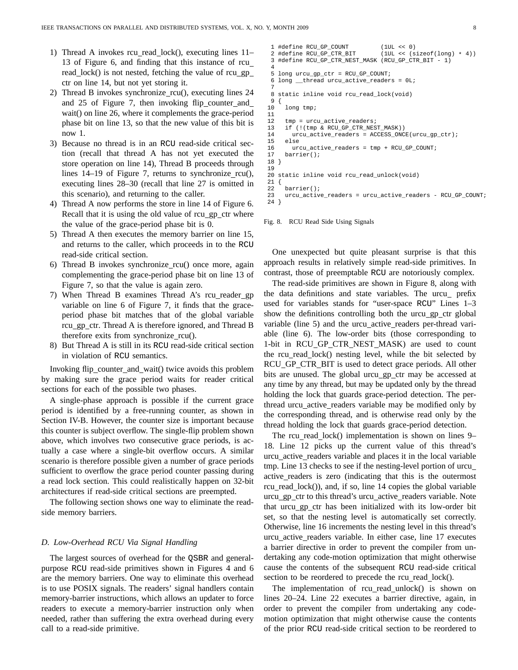- 1) Thread A invokes rcu read lock(), executing lines 11– 13 of Figure 6, and finding that this instance of rcu read\_lock() is not nested, fetching the value of rcu\_gp\_ ctr on line 14, but not yet storing it.
- 2) Thread B invokes synchronize\_rcu(), executing lines 24 and 25 of Figure 7, then invoking flip\_counter\_and wait() on line 26, where it complements the grace-period phase bit on line 13, so that the new value of this bit is now 1.
- 3) Because no thread is in an RCU read-side critical section (recall that thread A has not yet executed the store operation on line 14), Thread B proceeds through lines 14–19 of Figure 7, returns to synchronize rcu(), executing lines 28–30 (recall that line 27 is omitted in this scenario), and returning to the caller.
- 4) Thread A now performs the store in line 14 of Figure 6. Recall that it is using the old value of rcu\_gp\_ctr where the value of the grace-period phase bit is 0.
- 5) Thread A then executes the memory barrier on line 15, and returns to the caller, which proceeds in to the RCU read-side critical section.
- 6) Thread B invokes synchronize\_rcu() once more, again complementing the grace-period phase bit on line 13 of Figure 7, so that the value is again zero.
- 7) When Thread B examines Thread A's rcu reader gp variable on line 6 of Figure 7, it finds that the graceperiod phase bit matches that of the global variable rcu gp ctr. Thread A is therefore ignored, and Thread B therefore exits from synchronize\_rcu().
- 8) But Thread A is still in its RCU read-side critical section in violation of RCU semantics.

Invoking flip counter and wait() twice avoids this problem by making sure the grace period waits for reader critical sections for each of the possible two phases.

A single-phase approach is possible if the current grace period is identified by a free-running counter, as shown in Section IV-B. However, the counter size is important because this counter is subject overflow. The single-flip problem shown above, which involves two consecutive grace periods, is actually a case where a single-bit overflow occurs. A similar scenario is therefore possible given a number of grace periods sufficient to overflow the grace period counter passing during a read lock section. This could realistically happen on 32-bit architectures if read-side critical sections are preempted.

The following section shows one way to eliminate the readside memory barriers.

#### *D. Low-Overhead RCU Via Signal Handling*

The largest sources of overhead for the QSBR and generalpurpose RCU read-side primitives shown in Figures 4 and 6 are the memory barriers. One way to eliminate this overhead is to use POSIX signals. The readers' signal handlers contain memory-barrier instructions, which allows an updater to force readers to execute a memory-barrier instruction only when needed, rather than suffering the extra overhead during every call to a read-side primitive.

```
1 #define RCU_GP_COUNT (1UL << 0)<br>2 #define RCU_GP_CTR_BIT (1UL << (s
 2 #define RCU_GP_CTR_BIT (1UL << (sizeof(long) * 4))<br>3 #define RCU GP CTR NEST MASK (RCU GP CTR BIT - 1)
   3 #define RCU_GP_CTR_NEST_MASK (RCU_GP_CTR_BIT - 1)
 4
5 long urcu_gp_ctr = RCU_GP_COUNT;
 6 long __thread urcu_active_readers = 0L;
 7
8 static inline void rcu_read_lock(void)
 9 {
10 long tmp;
\begin{array}{c} 11 \\ 12 \end{array}tmp = urcu\_active\_readers;13 if (!(tmp & RCU_GP_CTR_NEST_MASK))
14 urcu_active_readers = ACCESS_ONCE(urcu_gp_ctr);
15 else
16 urcu_active_readers = tmp + RCU_GP_COUNT;
17 barrier();
18 }
19
20 static inline void rcu_read_unlock(void)
21 {
22 barrier();
23 urcu_active_readers = urcu_active_readers - RCU_GP_COUNT;
24 }
```
# Fig. 8. RCU Read Side Using Signals

One unexpected but quite pleasant surprise is that this approach results in relatively simple read-side primitives. In contrast, those of preemptable RCU are notoriously complex.

The read-side primitives are shown in Figure 8, along with the data definitions and state variables. The urcu\_ prefix used for variables stands for "user-space RCU" Lines 1–3 show the definitions controlling both the urcu gp ctr global variable (line 5) and the urcu\_active\_readers per-thread variable (line 6). The low-order bits (those corresponding to 1-bit in RCU\_GP\_CTR\_NEST\_MASK) are used to count the rcu read lock() nesting level, while the bit selected by RCU\_GP\_CTR\_BIT is used to detect grace periods. All other bits are unused. The global urcu\_gp\_ctr may be accessed at any time by any thread, but may be updated only by the thread holding the lock that guards grace-period detection. The perthread urcu\_active\_readers variable may be modified only by the corresponding thread, and is otherwise read only by the thread holding the lock that guards grace-period detection.

The rcu read lock() implementation is shown on lines 9– 18. Line 12 picks up the current value of this thread's urcu\_active\_readers variable and places it in the local variable tmp. Line 13 checks to see if the nesting-level portion of urcu active\_readers is zero (indicating that this is the outermost rcu read lock()), and, if so, line 14 copies the global variable urcu\_gp\_ctr to this thread's urcu\_active\_readers variable. Note that urcu gp ctr has been initialized with its low-order bit set, so that the nesting level is automatically set correctly. Otherwise, line 16 increments the nesting level in this thread's urcu active readers variable. In either case, line 17 executes a barrier directive in order to prevent the compiler from undertaking any code-motion optimization that might otherwise cause the contents of the subsequent RCU read-side critical section to be reordered to precede the rcu\_read\_lock().

The implementation of  $rcu$ -read-unlock $()$  is shown on lines 20–24. Line 22 executes a barrier directive, again, in order to prevent the compiler from undertaking any codemotion optimization that might otherwise cause the contents of the prior RCU read-side critical section to be reordered to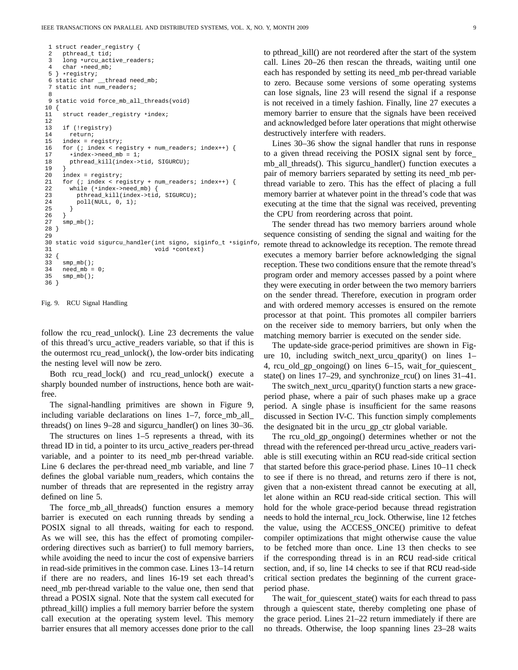```
1 struct reader_registry {
 2 pthread t tid;
 3 long *urcu_active_readers;<br>4 char *need mb;
     char *need_mb;
 5 } *registry;
 6 static char __thread need_mb;
 7 static int num_readers;
 8
9 static void force mb all threads(void)
10 {
11 struct reader registry *index;
12
13 if (!registry)
14 return;
15 index = registry;
16 for (; index < registry + num readers; index++) {
17 *index->need_mb = 1;<br>18 bthread kill(index->
       pthread_kill(index->tid, SIGURCU);
19 }
20 index = registry;
21 for (; index < registry + num_readers; index++) {
22 while (*index-\n  23 while *index-\n  2323 pthread_kill(index->tid, SIGURCU);
24 poll(NULL, 0, 1);
25 }
26 }
27 smp_mb();
28 }
29
30 static void sigurcu_handler(int signo, siginfo_t *siginfo, 31
                                void *context)
32 {
33 smp_mb();
34 need_mb = 0;
35 smp_mb();
36 }
```
Fig. 9. RCU Signal Handling

follow the rcu\_read\_unlock(). Line 23 decrements the value of this thread's urcu\_active\_readers variable, so that if this is the outermost rcu\_read\_unlock(), the low-order bits indicating the nesting level will now be zero.

Both rcu read lock() and rcu read unlock() execute a sharply bounded number of instructions, hence both are waitfree.

The signal-handling primitives are shown in Figure 9, including variable declarations on lines 1–7, force mb all threads() on lines 9–28 and sigurcu handler() on lines 30–36.

The structures on lines 1–5 represents a thread, with its thread ID in tid, a pointer to its urcu\_active\_readers per-thread variable, and a pointer to its need\_mb per-thread variable. Line 6 declares the per-thread need mb variable, and line 7 defines the global variable num readers, which contains the number of threads that are represented in the registry array defined on line 5.

The force\_mb\_all\_threads() function ensures a memory barrier is executed on each running threads by sending a POSIX signal to all threads, waiting for each to respond. As we will see, this has the effect of promoting compilerordering directives such as barrier() to full memory barriers, while avoiding the need to incur the cost of expensive barriers in read-side primitives in the common case. Lines 13–14 return if there are no readers, and lines 16-19 set each thread's need mb per-thread variable to the value one, then send that thread a POSIX signal. Note that the system call executed for pthread\_kill() implies a full memory barrier before the system call execution at the operating system level. This memory barrier ensures that all memory accesses done prior to the call to pthread kill() are not reordered after the start of the system call. Lines 20–26 then rescan the threads, waiting until one each has responded by setting its need mb per-thread variable to zero. Because some versions of some operating systems can lose signals, line 23 will resend the signal if a response is not received in a timely fashion. Finally, line 27 executes a memory barrier to ensure that the signals have been received and acknowledged before later operations that might otherwise destructively interfere with readers.

Lines 30–36 show the signal handler that runs in response to a given thread receiving the POSIX signal sent by force mb all threads(). This sigurcu handler() function executes a pair of memory barriers separated by setting its need mb perthread variable to zero. This has the effect of placing a full memory barrier at whatever point in the thread's code that was executing at the time that the signal was received, preventing the CPU from reordering across that point.

The sender thread has two memory barriers around whole sequence consisting of sending the signal and waiting for the remote thread to acknowledge its reception. The remote thread executes a memory barrier before acknowledging the signal reception. These two conditions ensure that the remote thread's program order and memory accesses passed by a point where they were executing in order between the two memory barriers on the sender thread. Therefore, execution in program order and with ordered memory accesses is ensured on the remote processor at that point. This promotes all compiler barriers on the receiver side to memory barriers, but only when the matching memory barrier is executed on the sender side.

The update-side grace-period primitives are shown in Figure 10, including switch next urcu qparity() on lines 1– 4, rcu old gp ongoing() on lines 6–15, wait for quiescent state() on lines  $17-29$ , and synchronize rcu() on lines  $31-41$ .

The switch next urcu qparity() function starts a new graceperiod phase, where a pair of such phases make up a grace period. A single phase is insufficient for the same reasons discussed in Section IV-C. This function simply complements the designated bit in the urcu gp ctr global variable.

The rcu\_old\_gp\_ongoing() determines whether or not the thread with the referenced per-thread urcu\_active\_readers variable is still executing within an RCU read-side critical section that started before this grace-period phase. Lines 10–11 check to see if there is no thread, and returns zero if there is not, given that a non-existent thread cannot be executing at all, let alone within an RCU read-side critical section. This will hold for the whole grace-period because thread registration needs to hold the internal rcu lock. Otherwise, line 12 fetches the value, using the ACCESS ONCE() primitive to defeat compiler optimizations that might otherwise cause the value to be fetched more than once. Line 13 then checks to see if the corresponding thread is in an RCU read-side critical section, and, if so, line 14 checks to see if that RCU read-side critical section predates the beginning of the current graceperiod phase.

The wait\_for\_quiescent\_state() waits for each thread to pass through a quiescent state, thereby completing one phase of the grace period. Lines 21–22 return immediately if there are no threads. Otherwise, the loop spanning lines 23–28 waits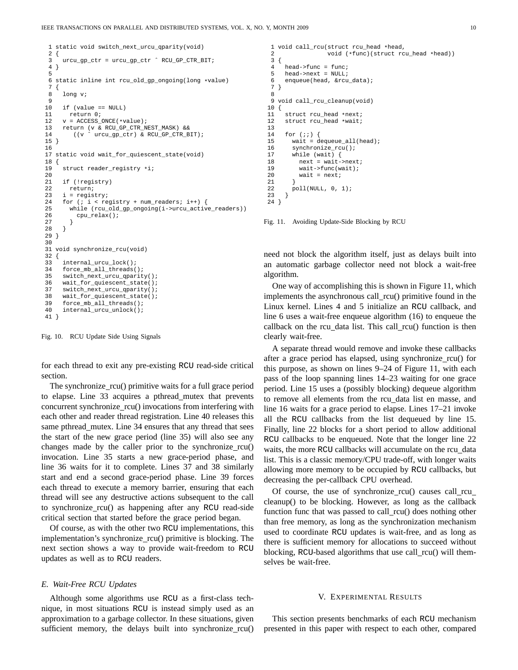```
1 static void switch_next_urcu_qparity(void)
 \begin{array}{c} 2 \\ 3 \end{array}urcu_gp_ctr = urcu_gp_ctr ^ RCU_GP_CTR_BIT;
 4 }
 5
 6 static inline int rcu_old_gp_ongoing(long *value) 7 \t{}\begin{array}{c} 7 \\ 8 \end{array}long v;
 9
10 if (value == NULL)
11 return 0;<br>12 v = ACCESS12 v = ACCESS\_ONCE(*value);<br>13 return (v \& RCU GP CTR N
    13 return (v & RCU_GP_CTR_NEST_MASK) &&
14 ((v \degree urcu_gp_ctr) & RCU_GP_CTR_BIT);
15 }
16
17 static void wait_for_quiescent_state(void)
18 {
19 struct reader registry *i;
20
21 if (!registry)
22 return;
23 i = registry;
24 for (; i < registry + num readers; i++) {
25 while (rcu_old_gp_ongoing(i->urcu_active_readers))
26 cpu_relax();
27 }
28 }
29 }
30
31 void synchronize_rcu(void)
32 {
33 internal_urcu_lock();
34 force_mb_all_threads();
35 switch_next_urcu_qparity();
36 wait_for_quiescent_state();
37 switch_next_urcu_qparity();
38 wait_for_quiescent_state();
39 force_mb_all_threads();<br>40 internal urcu unlock();
     internal_urcu_unlock();
41 }
```
Fig. 10. RCU Update Side Using Signals

for each thread to exit any pre-existing RCU read-side critical section.

The synchronize rcu() primitive waits for a full grace period to elapse. Line 33 acquires a pthread mutex that prevents concurrent synchronize rcu() invocations from interfering with each other and reader thread registration. Line 40 releases this same pthread\_mutex. Line 34 ensures that any thread that sees the start of the new grace period (line 35) will also see any changes made by the caller prior to the synchronize  $rcu()$ invocation. Line 35 starts a new grace-period phase, and line 36 waits for it to complete. Lines 37 and 38 similarly start and end a second grace-period phase. Line 39 forces each thread to execute a memory barrier, ensuring that each thread will see any destructive actions subsequent to the call to synchronize rcu() as happening after any RCU read-side critical section that started before the grace period began.

Of course, as with the other two RCU implementations, this implementation's synchronize\_rcu() primitive is blocking. The next section shows a way to provide wait-freedom to RCU updates as well as to RCU readers.

# *E. Wait-Free RCU Updates*

Although some algorithms use RCU as a first-class technique, in most situations RCU is instead simply used as an approximation to a garbage collector. In these situations, given sufficient memory, the delays built into synchronize  $rcu()$ 

```
1 void call_rcu(struct rcu_head *head,<br>2 void (*func)(struct rc
                  void (*func)(struct rcu head *head))
 3 {
 4 head->func = func;
 5 head->next = NULL;
 6 enqueue(head, &rcu_data);
7 }
 8
 9 void call_rcu_cleanup(void)
10 {
11 struct rcu_head *next;<br>12 struct rcu head *wait;
     struct rcu_head *wait;
13
14 for (i) {
15 wait = dequeue all(head);
16 synchronize_rcu();
17 while (wait) {
18 next = wait \rightarrow next;
19 wait->func(wait);
20 wait = next;
21 }
22 poll(NULL, 0, 1);
23 }
24 }
```
Fig. 11. Avoiding Update-Side Blocking by RCU

need not block the algorithm itself, just as delays built into an automatic garbage collector need not block a wait-free algorithm.

One way of accomplishing this is shown in Figure 11, which implements the asynchronous call\_rcu() primitive found in the Linux kernel. Lines 4 and 5 initialize an RCU callback, and line 6 uses a wait-free enqueue algorithm (16) to enqueue the callback on the rcu\_data list. This call\_rcu() function is then clearly wait-free.

A separate thread would remove and invoke these callbacks after a grace period has elapsed, using synchronize\_rcu() for this purpose, as shown on lines 9–24 of Figure 11, with each pass of the loop spanning lines 14–23 waiting for one grace period. Line 15 uses a (possibly blocking) dequeue algorithm to remove all elements from the rcu data list en masse, and line 16 waits for a grace period to elapse. Lines 17–21 invoke all the RCU callbacks from the list dequeued by line 15. Finally, line 22 blocks for a short period to allow additional RCU callbacks to be enqueued. Note that the longer line 22 waits, the more RCU callbacks will accumulate on the rcu\_data list. This is a classic memory/CPU trade-off, with longer waits allowing more memory to be occupied by RCU callbacks, but decreasing the per-callback CPU overhead.

Of course, the use of synchronize\_rcu() causes call\_rcu\_ cleanup() to be blocking. However, as long as the callback function func that was passed to call\_rcu() does nothing other than free memory, as long as the synchronization mechanism used to coordinate RCU updates is wait-free, and as long as there is sufficient memory for allocations to succeed without blocking, RCU-based algorithms that use call\_rcu() will themselves be wait-free.

# V. EXPERIMENTAL RESULTS

This section presents benchmarks of each RCU mechanism presented in this paper with respect to each other, compared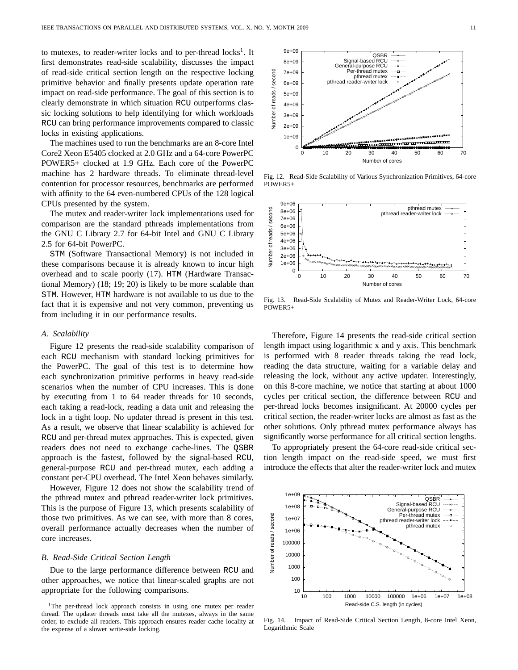to mutexes, to reader-writer locks and to per-thread  $locks<sup>1</sup>$ . It first demonstrates read-side scalability, discusses the impact of read-side critical section length on the respective locking primitive behavior and finally presents update operation rate impact on read-side performance. The goal of this section is to clearly demonstrate in which situation RCU outperforms classic locking solutions to help identifying for which workloads RCU can bring performance improvements compared to classic locks in existing applications.

The machines used to run the benchmarks are an 8-core Intel Core2 Xeon E5405 clocked at 2.0 GHz and a 64-core PowerPC POWER5+ clocked at 1.9 GHz. Each core of the PowerPC machine has 2 hardware threads. To eliminate thread-level contention for processor resources, benchmarks are performed with affinity to the 64 even-numbered CPUs of the 128 logical CPUs presented by the system.

The mutex and reader-writer lock implementations used for comparison are the standard pthreads implementations from the GNU C Library 2.7 for 64-bit Intel and GNU C Library 2.5 for 64-bit PowerPC.

STM (Software Transactional Memory) is not included in these comparisons because it is already known to incur high overhead and to scale poorly (17). HTM (Hardware Transactional Memory) (18; 19; 20) is likely to be more scalable than STM. However, HTM hardware is not available to us due to the fact that it is expensive and not very common, preventing us from including it in our performance results.

#### *A. Scalability*

Figure 12 presents the read-side scalability comparison of each RCU mechanism with standard locking primitives for the PowerPC. The goal of this test is to determine how each synchronization primitive performs in heavy read-side scenarios when the number of CPU increases. This is done by executing from 1 to 64 reader threads for 10 seconds, each taking a read-lock, reading a data unit and releasing the lock in a tight loop. No updater thread is present in this test. As a result, we observe that linear scalability is achieved for RCU and per-thread mutex approaches. This is expected, given readers does not need to exchange cache-lines. The QSBR approach is the fastest, followed by the signal-based RCU, general-purpose RCU and per-thread mutex, each adding a constant per-CPU overhead. The Intel Xeon behaves similarly.

However, Figure 12 does not show the scalability trend of the pthread mutex and pthread reader-writer lock primitives. This is the purpose of Figure 13, which presents scalability of those two primitives. As we can see, with more than 8 cores, overall performance actually decreases when the number of core increases.

#### *B. Read-Side Critical Section Length*

Due to the large performance difference between RCU and other approaches, we notice that linear-scaled graphs are not appropriate for the following comparisons.

<sup>1</sup>The per-thread lock approach consists in using one mutex per reader thread. The updater threads must take all the mutexes, always in the same order, to exclude all readers. This approach ensures reader cache locality at the expense of a slower write-side locking.



Fig. 12. Read-Side Scalability of Various Synchronization Primitives, 64-core POWER5+



Fig. 13. Read-Side Scalability of Mutex and Reader-Writer Lock, 64-core POWER5+

Therefore, Figure 14 presents the read-side critical section length impact using logarithmic x and y axis. This benchmark is performed with 8 reader threads taking the read lock, reading the data structure, waiting for a variable delay and releasing the lock, without any active updater. Interestingly, on this 8-core machine, we notice that starting at about 1000 cycles per critical section, the difference between RCU and per-thread locks becomes insignificant. At 20000 cycles per critical section, the reader-writer locks are almost as fast as the other solutions. Only pthread mutex performance always has significantly worse performance for all critical section lengths.

To appropriately present the 64-core read-side critical section length impact on the read-side speed, we must first introduce the effects that alter the reader-writer lock and mutex



Fig. 14. Impact of Read-Side Critical Section Length, 8-core Intel Xeon, Logarithmic Scale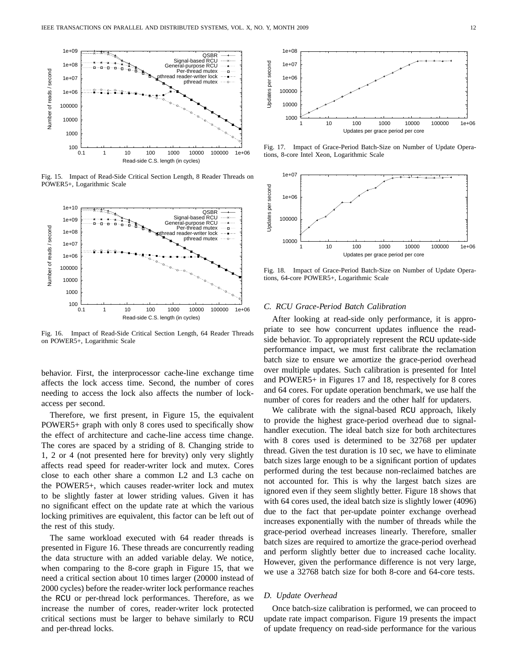

Fig. 15. Impact of Read-Side Critical Section Length, 8 Reader Threads on POWER5+, Logarithmic Scale



Fig. 16. Impact of Read-Side Critical Section Length, 64 Reader Threads on POWER5+, Logarithmic Scale

behavior. First, the interprocessor cache-line exchange time affects the lock access time. Second, the number of cores needing to access the lock also affects the number of lockaccess per second.

Therefore, we first present, in Figure 15, the equivalent POWER5+ graph with only 8 cores used to specifically show the effect of architecture and cache-line access time change. The cores are spaced by a striding of 8. Changing stride to 1, 2 or 4 (not presented here for brevity) only very slightly affects read speed for reader-writer lock and mutex. Cores close to each other share a common L2 and L3 cache on the POWER5+, which causes reader-writer lock and mutex to be slightly faster at lower striding values. Given it has no significant effect on the update rate at which the various locking primitives are equivalent, this factor can be left out of the rest of this study.

The same workload executed with 64 reader threads is presented in Figure 16. These threads are concurrently reading the data structure with an added variable delay. We notice, when comparing to the 8-core graph in Figure 15, that we need a critical section about 10 times larger (20000 instead of 2000 cycles) before the reader-writer lock performance reaches the RCU or per-thread lock performances. Therefore, as we increase the number of cores, reader-writer lock protected critical sections must be larger to behave similarly to RCU and per-thread locks.



Fig. 17. Impact of Grace-Period Batch-Size on Number of Update Operations, 8-core Intel Xeon, Logarithmic Scale



Fig. 18. Impact of Grace-Period Batch-Size on Number of Update Operations, 64-core POWER5+, Logarithmic Scale

# *C. RCU Grace-Period Batch Calibration*

After looking at read-side only performance, it is appropriate to see how concurrent updates influence the readside behavior. To appropriately represent the RCU update-side performance impact, we must first calibrate the reclamation batch size to ensure we amortize the grace-period overhead over multiple updates. Such calibration is presented for Intel and POWER5+ in Figures 17 and 18, respectively for 8 cores and 64 cores. For update operation benchmark, we use half the number of cores for readers and the other half for updaters.

We calibrate with the signal-based RCU approach, likely to provide the highest grace-period overhead due to signalhandler execution. The ideal batch size for both architectures with 8 cores used is determined to be 32768 per updater thread. Given the test duration is 10 sec, we have to eliminate batch sizes large enough to be a significant portion of updates performed during the test because non-reclaimed batches are not accounted for. This is why the largest batch sizes are ignored even if they seem slightly better. Figure 18 shows that with 64 cores used, the ideal batch size is slightly lower (4096) due to the fact that per-update pointer exchange overhead increases exponentially with the number of threads while the grace-period overhead increases linearly. Therefore, smaller batch sizes are required to amortize the grace-period overhead and perform slightly better due to increased cache locality. However, given the performance difference is not very large, we use a 32768 batch size for both 8-core and 64-core tests.

#### *D. Update Overhead*

Once batch-size calibration is performed, we can proceed to update rate impact comparison. Figure 19 presents the impact of update frequency on read-side performance for the various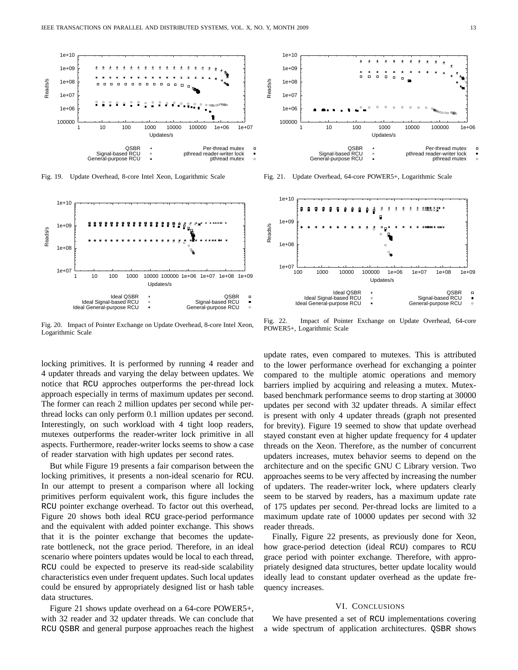

Fig. 19. Update Overhead, 8-core Intel Xeon, Logarithmic Scale



Fig. 20. Impact of Pointer Exchange on Update Overhead, 8-core Intel Xeon, Logarithmic Scale

locking primitives. It is performed by running 4 reader and 4 updater threads and varying the delay between updates. We notice that RCU approches outperforms the per-thread lock approach especially in terms of maximum updates per second. The former can reach 2 million updates per second while perthread locks can only perform 0.1 million updates per second. Interestingly, on such workload with 4 tight loop readers, mutexes outperforms the reader-writer lock primitive in all aspects. Furthermore, reader-writer locks seems to show a case of reader starvation with high updates per second rates.

But while Figure 19 presents a fair comparison between the locking primitives, it presents a non-ideal scenario for RCU. In our attempt to present a comparison where all locking primitives perform equivalent work, this figure includes the RCU pointer exchange overhead. To factor out this overhead, Figure 20 shows both ideal RCU grace-period performance and the equivalent with added pointer exchange. This shows that it is the pointer exchange that becomes the updaterate bottleneck, not the grace period. Therefore, in an ideal scenario where pointers updates would be local to each thread, RCU could be expected to preserve its read-side scalability characteristics even under frequent updates. Such local updates could be ensured by appropriately designed list or hash table data structures.

Figure 21 shows update overhead on a 64-core POWER5+, with 32 reader and 32 updater threads. We can conclude that RCU QSBR and general purpose approaches reach the highest



Fig. 21. Update Overhead, 64-core POWER5+, Logarithmic Scale



Fig. 22. Impact of Pointer Exchange on Update Overhead, 64-core POWER5+, Logarithmic Scale

update rates, even compared to mutexes. This is attributed to the lower performance overhead for exchanging a pointer compared to the multiple atomic operations and memory barriers implied by acquiring and releasing a mutex. Mutexbased benchmark performance seems to drop starting at 30000 updates per second with 32 updater threads. A similar effect is present with only 4 updater threads (graph not presented for brevity). Figure 19 seemed to show that update overhead stayed constant even at higher update frequency for 4 updater threads on the Xeon. Therefore, as the number of concurrent updaters increases, mutex behavior seems to depend on the architecture and on the specific GNU C Library version. Two approaches seems to be very affected by increasing the number of updaters. The reader-writer lock, where updaters clearly seem to be starved by readers, has a maximum update rate of 175 updates per second. Per-thread locks are limited to a maximum update rate of 10000 updates per second with 32 reader threads.

Finally, Figure 22 presents, as previously done for Xeon, how grace-period detection (ideal RCU) compares to RCU grace period with pointer exchange. Therefore, with appropriately designed data structures, better update locality would ideally lead to constant updater overhead as the update frequency increases.

# VI. CONCLUSIONS

We have presented a set of RCU implementations covering a wide spectrum of application architectures. QSBR shows